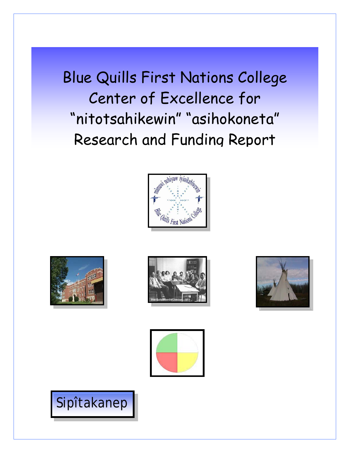Blue Quills First Nations College Center of Excellence for "nitotsahikewin" "asihokoneta" Research and Funding Report











Sipîtakanep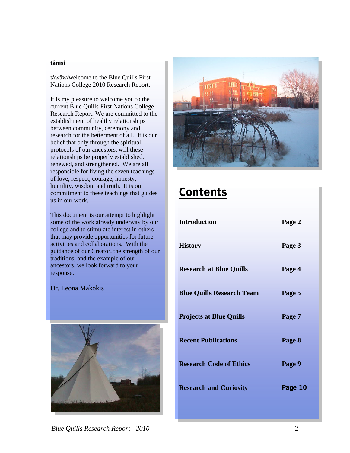#### **tânisi**

tâwâw/welcome to the Blue Quills First Nations College 2010 Research Report.

It is my pleasure to welcome you to the current Blue Quills First Nations College Research Report. We are committed to the establishment of healthy relationships between community, ceremony and research for the betterment of all. It is our belief that only through the spiritual protocols of our ancestors, will these relationships be properly established, renewed, and strengthened. We are all responsible for living the seven teachings of love, respect, courage, honesty, humility, wisdom and truth. It is our commitment to these teachings that guides us in our work.

This document is our attempt to highlight some of the work already underway by our college and to stimulate interest in others that may provide opportunities for future activities and collaborations. With the guidance of our Creator, the strength of our traditions, and the example of our ancestors, we look forward to your response.







# **Contents**

| <b>Introduction</b>              | Page 2  |
|----------------------------------|---------|
| <b>History</b>                   | Page 3  |
| <b>Research at Blue Quills</b>   | Page 4  |
| <b>Blue Quills Research Team</b> | Page 5  |
| <b>Projects at Blue Quills</b>   | Page 7  |
| <b>Recent Publications</b>       | Page 8  |
| <b>Research Code of Ethics</b>   | Page 9  |
| <b>Research and Curiosity</b>    | Page 10 |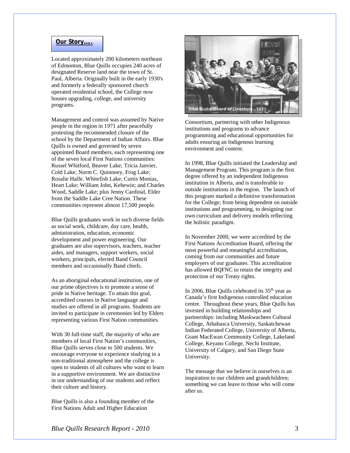#### **Our Story…..**

Located approximately 200 kilometers northeast of Edmonton, Blue Quills occupies 240 acres of designated Reserve land near the town of St. Paul, Alberta. Originally built in the early 1930's and formerly a federally sponsored church operated residential school, the College now houses upgrading, college, and university programs.

Management and control was assumed by Native people in the region in 1971 after peacefully protesting the recommended closure of the school by the Department of Indian Affairs. Blue Quills is owned and governed by seven appointed Board members, each representing one of the seven local First Nations communities: Russel Whitford, Beaver Lake; Tricia Janvier, Cold Lake; Norm C. Quinnney, Frog Lake; Rosalie Halfe. Whitefish Lake; Curtis Monias, Heart Lake; William John, Kehewin; and Charles Wood, Saddle Lake; plus Jenny Cardinal, Elder from the Saddle Lake Cree Nation. These communities represent almost 17,500 people.

Blue Quills graduates work in such diverse fields as social work, childcare, day care, health, administration, education, economic development and power engineering. Our graduates are also supervisors, teachers, teacher aides, and managers, support workers, social workers, principals, elected Band Council members and occasionally Band chiefs.

As an aboriginal educational institution, one of our prime objectives is to promote a sense of pride in Native heritage. To attain this goal, accredited courses in Native language and studies are offered in all programs. Students are invited to participate in ceremonies led by Elders representing various First Nation communities.

With 30 full-time staff, the majority of who are members of local First Nation's communities, Blue Quills serves close to 500 students. We encourage everyone to experience studying in a non-traditional atmosphere and the college is open to students of all cultures who want to learn in a supportive environment. We are distinctive in our understanding of our students and reflect their culture and history.

Blue Quills is also a founding member of the First Nations Adult and Higher Education



Consortium, partnering with other Indigenous institutions and programs to advance programming and educational opportunities for adults ensuring an Indigenous learning environment and content.

In 1998, Blue Quills initiated the Leadership and Management Program. This program is the first degree offered by an independent Indigenous institution in Alberta, and is transferable to outside institutions in the region. The launch of this program marked a definitive transformation for the College; from being dependent on outside institutions and programming, to designing our own curriculum and delivery models reflecting the holistic paradigm.

In November 2000, we were accredited by the First Nations Accreditation Board, offering the most powerful and meaningful accreditation, coming from our communities and future employers of our graduates. This accreditation has allowed BQFNC to retain the integrity and protection of our Treaty rights.

In 2006, Blue Quills celebrated its  $35<sup>th</sup>$  year as Canada's first Indigenous controlled education centre. Throughout these years, Blue Quills has invested in building relationships and partnerships: including Maskwachees Cultural College, Athabasca University, Saskatchewan Indian Federated College, University of Alberta, Grant MacEwan Community College, Lakeland College, Keyano College, Nechi Institute, University of Calgary, and San Diego State University.

The message that we believe in ourselves is an inspiration to our children and grandchildren; something we can leave to those who will come after us.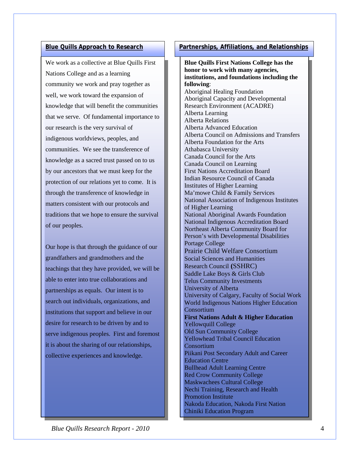We work as a collective at Blue Quills First Nations College and as a learning community we work and pray together as well, we work toward the expansion of knowledge that will benefit the communities that we serve. Of fundamental importance to our research is the very survival of indigenous worldviews, peoples, and communities. We see the transference of knowledge as a sacred trust passed on to us by our ancestors that we must keep for the protection of our relations yet to come. It is through the transference of knowledge in matters consistent with our protocols and traditions that we hope to ensure the survival of our peoples.

desire for research to be driven by and to Our hope is that through the guidance of our grandfathers and grandmothers and the teachings that they have provided, we will be able to enter into true collaborations and partnerships as equals. Our intent is to search out individuals, organizations, and institutions that support and believe in our serve indigenous peoples. First and foremost it is about the sharing of our relationships, collective experiences and knowledge.

## **Blue Quills Approach to Research Partnerships, Affiliations, and Relationships**

**Blue Quills First Nations College has the honor to work with many agencies, institutions, and foundations including the following**: Aboriginal Healing Foundation Aboriginal Capacity and Developmental Research Environment (ACADRE) Alberta Learning Alberta Relations Alberta Advanced Education Alberta Council on Admissions and Transfers Alberta Foundation for the Arts Athabasca University Canada Council for the Arts Canada Council on Learning First Nations Accreditation Board Indian Resource Council of Canada Institutes of Higher Learning Ma'mowe Child & Family Services National Association of Indigenous Institutes of Higher Learning National Aboriginal Awards Foundation National Indigenous Accreditation Board Northeast Alberta Community Board for Person's with Developmental Disabilities Portage College Prairie Child Welfare Consortium Social Sciences and Humanities Research Council **(**SSHRC) Saddle Lake Boys & Girls Club Telus Community Investments University of Alberta University of Calgary, Faculty of Social Work World Indigenous Nations Higher Education **Consortium First Nations Adult & Higher Education** Yellowquill College Old Sun Community College Yellowhead Tribal Council Education **Consortium** Piikani Post Secondary Adult and Career Education Centre Bullhead Adult Learning Centre Red Crow Community College Maskwachees Cultural College Nechi Training, Research and Health Promotion Institute Nakoda Education, Nakoda First Nation Chiniki Education Program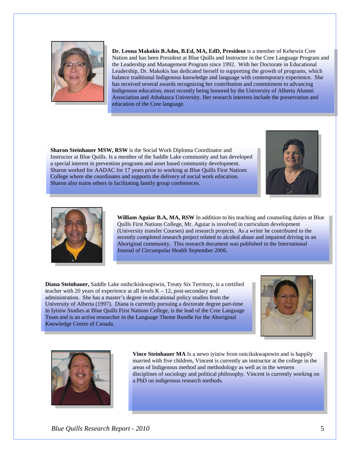

**Dr. Leona Makokis B.Adm, B.Ed, MA, EdD, President** is a member of Kehewin Cree Nation and has been President at Blue Quills and Instructor in the Cree Language Program and the Leadership and Management Program since 1992. With her Doctorate in Educational Leadership, Dr. Makokis has dedicated herself to supporting the growth of programs, which balance traditional Indigenous knowledge and language with contemporary experience. She has received several awards recognizing her contribution and commitment to advancing Indigenous education, most recently being honored by the University of Alberta Alumni Association and Athabasca University. Her research interests include the preservation and education of the Cree language.

**Sharon Steinhauer MSW, RSW** is the Social Work Diploma Coordinator and Instructor at Blue Quills. Is a member of the Saddle Lake community and has developed a special interest in prevention programs and asset based community development. Sharon worked for AADAC for 17 years prior to working at Blue Quills First Nations College where she coordinates and supports the delivery of social work education. Sharon also trains others in facilitating family group conferences.





**William Aguiar B.A, MA, RSW** In addition to his teaching and counseling duties at Blue Quills First Nations College, Mr. Aguiar is involved in curriculum development (University transfer Courses) and research projects. As a writer he contributed to the recently completed research project related to alcohol abuse and impaired driving in an Aboriginal community. This research document was published in the International Journal of Circumpolar Health September 2006.

**Diana Steinhauer,** Saddle Lake onihcikiskwapiwin, Treaty Six Territory, is a certified teacher with 20 years of experience at all levels  $K - 12$ , post-secondary and administration. She has a master's degree in educational policy studies from the University of Alberta (1997). Diana is currently pursuing a doctorate degree part-time in Iyiniw Studies at Blue Quills First Nations College, is the lead of the Cree Language Team and is an active researcher in the Language Theme Bundle for the Aboriginal Knowledge Centre of Canada.





**Vince Steinhauer MA** Is a newo iyiniw from oniciks kwapowin and is happily married with five children, Vincent is currently an instructor at the college in the areas of Indigenous method and methodology as well as in the western disciplines of sociology and political philosophy. Vincent is currently working on a PhD on indigenous research methods.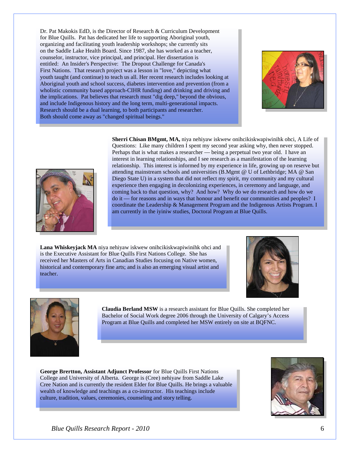Dr. Pat Makokis EdD, is the Director of Research & Curriculum Development for Blue Quills. Pat has dedicated her life to supporting Aboriginal youth, organizing and facilitating youth leadership workshops; she currently sits on the Saddle Lake Health Board. Since 1987, she has worked as a teacher, counselor, instructor, vice principal, and principal. Her dissertation is entitled: An Insider's Perspective: The Dropout Challenge for Canada's First Nations. That research project was a lesson in "love," depicting what youth taught (and continue) to teach us all. Her recent research includes looking at Aboriginal youth and school success, diabetes intervention and prevention (from a wholistic community based approach-CIHR funding) and drinking and driving and the implications. Pat believes that research must "dig deep," beyond the obvious, and include Indigenous history and the long term, multi-generational impacts. Research should be a dual learning, to both participants and researcher. Both should come away as "changed spiritual beings."





**Sherri Chisan BMgmt, MA,** niya nehiyaw iskwew onihcikiskwapiwinihk ohci, A Life of Questions: Like many children I spent my second year asking why, then never stopped. Perhaps that is what makes a researcher — being a perpetual two year old. I have an interest in learning relationships, and I see research as a manifestation of the learning relationship. This interest is informed by my experience in life, growing up on reserve but attending mainstream schools and universities (B.Mgmt @ U of Lethbridge; MA @ San Diego State U) in a system that did not reflect my spirit, my community and my cultural experience then engaging in decolonizing experiences, in ceremony and language, and coming back to that question, why? And how? Why do we do research and how do we do it — for reasons and in ways that honour and benefit our communities and peoples? I coordinate the Leadership & Management Program and the Indigenous Artists Program. I am currently in the iyiniw studies, Doctoral Program at Blue Quills.

**Lana Whiskeyjack MA** niya nehiyaw iskwew onihcikiskwapiwinihk ohci and is the Executive Assistant for Blue Quills First Nations College. She has received her Masters of Arts in Canadian Studies focusing on Native women, historical and contemporary fine arts; and is also an emerging visual artist and teacher.





**Claudia Berland MSW** is a research assistant for Blue Quills. She completed her Bachelor of Social Work degree 2006 through the University of Calgary's Access Program at Blue Quills and completed her MSW entirely on site at BQFNC.

**George Brertton, Assistant Adjunct Professor** for Blue Quills First Nations College and University of Alberta. George is (Cree) nehiyaw from Saddle Lake Cree Nation and is currently the resident Elder for Blue Quills. He brings a valuable wealth of knowledge and teachings as a co-instructor. His teachings include culture, tradition, values, ceremonies, counseling and story telling.

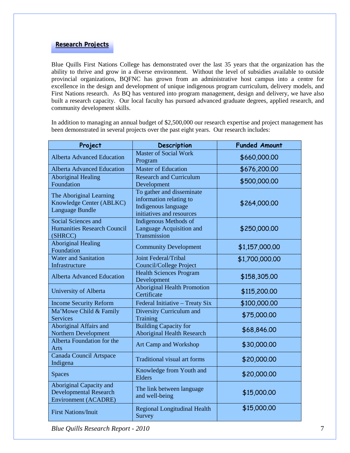### **Research Projects**

Blue Quills First Nations College has demonstrated over the last 35 years that the organization has the ability to thrive and grow in a diverse environment. Without the level of subsidies available to outside provincial organizations, BQFNC has grown from an administrative host campus into a centre for excellence in the design and development of unique indigenous program curriculum, delivery models, and First Nations research. As BQ has ventured into program management, design and delivery, we have also built a research capacity. Our local faculty has pursued advanced graduate degrees, applied research, and community development skills.

In addition to managing an annual budget of \$2,500,000 our research expertise and project management has been demonstrated in several projects over the past eight years. Our research includes:

| Project                                                                                 | Description                                                                                              | <b>Funded Amount</b> |
|-----------------------------------------------------------------------------------------|----------------------------------------------------------------------------------------------------------|----------------------|
| <b>Alberta Advanced Education</b>                                                       | <b>Master of Social Work</b><br>Program                                                                  | \$660,000.00         |
| <b>Alberta Advanced Education</b>                                                       | <b>Master of Education</b>                                                                               | \$676,200.00         |
| <b>Aboriginal Healing</b><br>Foundation                                                 | <b>Research and Curriculum</b><br>Development                                                            | \$500,000.00         |
| The Aboriginal Learning<br>Knowledge Center (ABLKC)<br>Language Bundle                  | To gather and disseminate<br>information relating to<br>Indigenous language<br>initiatives and resources | \$264,000.00         |
| Social Sciences and<br><b>Humanities Research Council</b><br>(SHRCC)                    | <b>Indigenous Methods of</b><br>Language Acquisition and<br>Transmission                                 | \$250,000.00         |
| <b>Aboriginal Healing</b><br>Foundation                                                 | <b>Community Development</b>                                                                             | \$1,157,000.00       |
| <b>Water and Sanitation</b><br>Infrastructure                                           | <b>Joint Federal/Tribal</b><br><b>Council/College Project</b>                                            | \$1,700,000.00       |
| <b>Alberta Advanced Education</b>                                                       | <b>Health Sciences Program</b><br>Development                                                            | \$158,305.00         |
| University of Alberta                                                                   | <b>Aboriginal Health Promotion</b><br>Certificate                                                        | \$115,200.00         |
| <b>Income Security Reform</b>                                                           | Federal Initiative - Treaty Six                                                                          | \$100,000.00         |
| Ma'Mowe Child & Family<br><b>Services</b>                                               | <b>Diversity Curriculum and</b><br>Training                                                              | \$75,000.00          |
| Aboriginal Affairs and<br>Northern Development                                          | <b>Building Capacity for</b><br><b>Aboriginal Health Research</b>                                        | \$68,846.00          |
| Alberta Foundation for the<br>Arts                                                      | <b>Art Camp and Workshop</b>                                                                             | \$30,000.00          |
| Canada Council Artspace<br>Indigena                                                     | <b>Traditional visual art forms</b>                                                                      | \$20,000.00          |
| <b>Spaces</b>                                                                           | Knowledge from Youth and<br>Elders                                                                       | \$20,000.00          |
| Aboriginal Capacity and<br><b>Developmental Research</b><br><b>Environment (ACADRE)</b> | The link between language<br>and well-being                                                              | \$15,000.00          |
| <b>First Nations/Inuit</b>                                                              | <b>Regional Longitudinal Health</b><br>Survey                                                            | \$15,000.00          |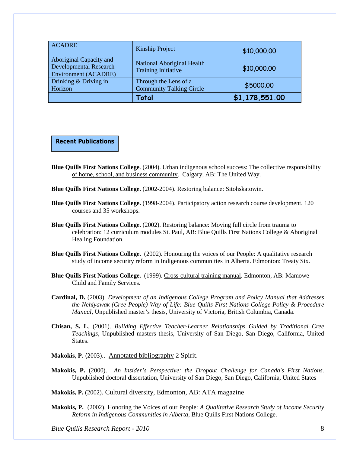| <b>ACADRE</b>                                                                    | Kinship Project                                                 | \$10,000.00    |
|----------------------------------------------------------------------------------|-----------------------------------------------------------------|----------------|
| Aboriginal Capacity and<br>Developmental Research<br><b>Environment (ACADRE)</b> | <b>National Aboriginal Health</b><br><b>Training Initiative</b> | \$10,000.00    |
| Drinking & Driving in<br>Horizon                                                 | Through the Lens of a<br><b>Community Talking Circle</b>        | \$5000.00      |
|                                                                                  | Total                                                           | \$1,178,551.00 |

**Recent Publications**

- **Blue Quills First Nations College**. (2004). Urban indigenous school success: The collective responsibility of home, school, and business community. Calgary, AB: The United Way.
- **Blue Quills First Nations College.** (2002-2004). Restoring balance: Sitohskatowin.
- **Blue Quills First Nations College.** (1998-2004). Participatory action research course development. 120 courses and 35 workshops.
- **Blue Quills First Nations College.** (2002). Restoring balance: Moving full circle from trauma to celebration: 12 curriculum modules St. Paul, AB: Blue Quills First Nations College & Aboriginal Healing Foundation.
- **Blue Quills First Nations College.** (2002). Honouring the voices of our People: A qualitative research study of income security reform in Indigenous communities in Alberta. Edmonton: Treaty Six.
- **Blue Quills First Nations College.** (1999). Cross-cultural training manual. Edmonton, AB: Mamowe Child and Family Services.
- **Cardinal, D.** (2003). *Development of an Indigenous College Program and Policy Manual that Addresses the Nehiyawak (Cree People) Way of Life: Blue Quills First Nations College Policy & Procedure Manual*, Unpublished master's thesis, University of Victoria, British Columbia, Canada.
- **Chisan, S. L**. (2001). *Building Effective Teacher-Learner Relationships Guided by Traditional Cree Teachings,* Unpublished masters thesis, University of San Diego, San Diego, California, United States.
- Makokis, P. (2003).. Annotated bibliography 2 Spirit.
- **Makokis, P.** (2000). *An Insider's Perspective: the Dropout Challenge for Canada's First Nations*. Unpublished doctoral dissertation*,* University of San Diego, San Diego, California, United States

**Makokis, P.** (2002). Cultural diversity, Edmonton, AB: ATA magazine

**Makokis, P.** (2002). Honoring the Voices of our People: *A Qualitative Research Study of Income Security Reform in Indigenous Communities in Alberta,* Blue Quills First Nations College.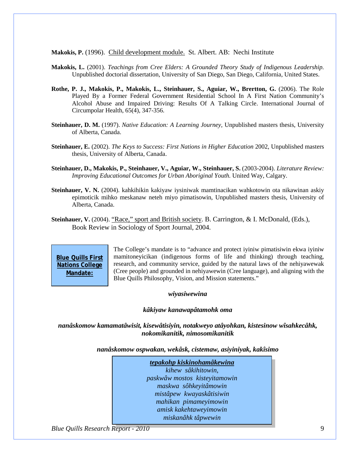**Makokis, P.** (1996). Child development module. St. Albert. AB: Nechi Institute

- **Makokis, L.** (2001). *Teachings from Cree Elders: A Grounded Theory Study of Indigenous Leadership.*  Unpublished doctorial dissertation, University of San Diego, San Diego, California, United States.
- **Rothe, P. J., Makokis, P., Makokis, L., Steinhauer, S., Aguiar, W., Brertton, G. (2006)**. The Role Played By a Former Federal Government Residential School In A First Nation Community's Alcohol Abuse and Impaired Driving: Results Of A Talking Circle. International Journal of Circumpolar Health, 65(4), 347-356.
- **Steinhauer, D. M.** (1997). *Native Education: A Learning Journey,* Unpublished masters thesis, University of Alberta, Canada.
- **Steinhauer, E.** (2002). *The Keys to Success: First Nations in Higher Education* 2002, Unpublished masters thesis, University of Alberta, Canada.
- **Steinhauer, D., Makokis, P., Steinhauer, V., Aguiar, W., Steinhauer, S.** (2003-2004). *Literature Review: Improving Educational Outcomes for Urban Aboriginal Youth.* United Way, Calgary.
- **Steinhauer, V. N.** (2004). kahkihikin kakiyaw iysiniwak mamtinacikan wahkotowin ota nikawinan askiy epimoticik mihko meskanaw neteh miyo pimatisowin, Unpublished masters thesis, University of Alberta, Canada.
- **Steinhauer, V.** (2004). "Race," sport and British society. B. Carrington, & I. McDonald, (Eds.), Book Review in Sociology of Sport Journal, 2004.

**Blue Quills First Nations College Mandate:**

The College's mandate is to "advance and protect iyiniw pimatisiwin ekwa iyiniw mamitoneyicikan (indigenous forms of life and thinking) through teaching, research, and community service, guided by the natural laws of the nehiyawewak (Cree people) and grounded in nehiyawewin (Cree language), and aligning with the Blue Quills Philosophy, Vision, and Mission statements."

#### *wiyasiwewina*

#### *kâkiyaw kanawapâtamohk oma*

*nanâskomow kamamatâwisit, kisewâtisiyin, notakweyo atâyohkan, kistesinow wîsahkecâhk, nokomikanitik, nimosomikanitik*

*nanâskomow ospwakan, wekâsk, cistemaw, asiyiniyak, kakîsimo*

*tepakohp kiskinohamâkewina kihew sâkihitowin*, *paskwâw mostos kisteyitamowin maskwa sôhkeyitâmowin mistâpew kwayaskâtisiwin mahikan pimameyimowin amisk kakehtaweyimowin miskanâhk tâpwewin*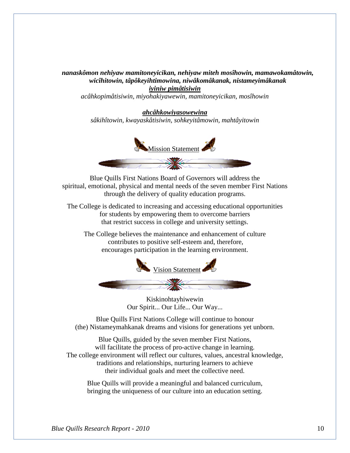*nanaskômon nehiyaw mamitoneyicikan, nehiyaw miteh mosîhowin, mamawokamâtowin, wicîhitowin, tâpôkeyihtimowina, niwâkomâkanak, nistameyimâkanak iyiniw pimâtisiwin*

*acâhkopimâtisiwin, miyohakiyawewin, mamitoneyicikan, mosîhowin*

*ahcâhkowiyasowewina sâkihîtowin, kwayaskâtisiwin*, *sohkeyitâmowin, mahtâyitowin*



Blue Quills First Nations Board of Governors will address the spiritual, emotional, physical and mental needs of the seven member First Nations through the delivery of quality education programs.

The College is dedicated to increasing and accessing educational opportunities for students by empowering them to overcome barriers that restrict success in college and university settings.

The College believes the maintenance and enhancement of culture contributes to positive self-esteem and, therefore, encourages participation in the learning environment.



Kiskinohtayhiwewin Our Spirit... Our Life... Our Way...

Blue Quills First Nations College will continue to honour (the) Nistameymahkanak dreams and visions for generations yet unborn.

Blue Quills, guided by the seven member First Nations, will facilitate the process of pro-active change in learning. The college environment will reflect our cultures, values, ancestral knowledge, traditions and relationships, nurturing learners to achieve their individual goals and meet the collective need.

Blue Quills will provide a meaningful and balanced curriculum, bringing the uniqueness of our culture into an education setting.